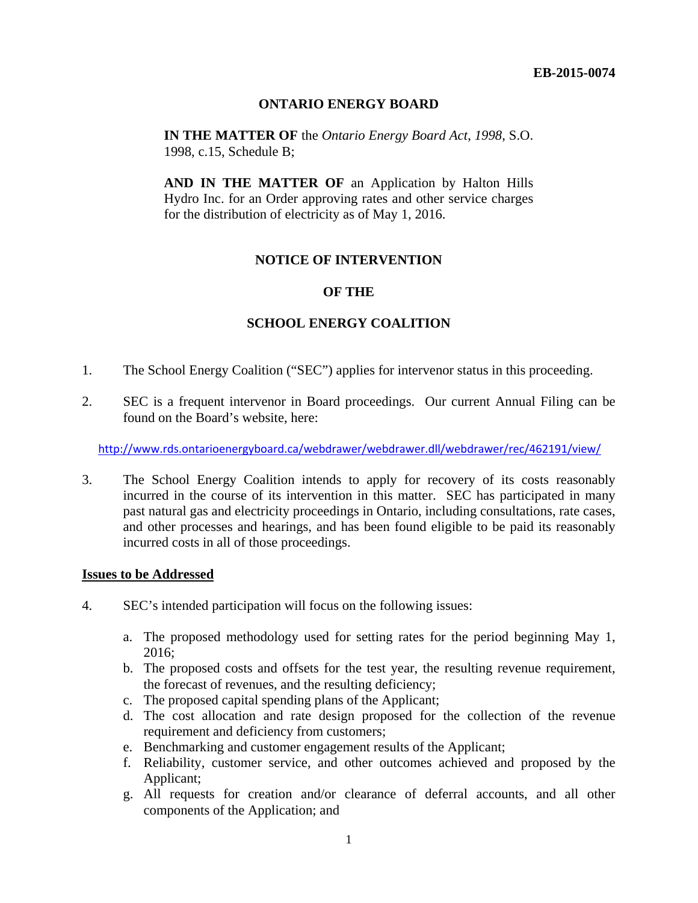## **ONTARIO ENERGY BOARD**

**IN THE MATTER OF** the *Ontario Energy Board Act*, *1998*, S.O. 1998, c.15, Schedule B;

**AND IN THE MATTER OF** an Application by Halton Hills Hydro Inc. for an Order approving rates and other service charges for the distribution of electricity as of May 1, 2016.

## **NOTICE OF INTERVENTION**

### **OF THE**

## **SCHOOL ENERGY COALITION**

- 1. The School Energy Coalition ("SEC") applies for intervenor status in this proceeding.
- 2. SEC is a frequent intervenor in Board proceedings. Our current Annual Filing can be found on the Board's website, here:

http://www.rds.ontarioenergyboard.ca/webdrawer/webdrawer.dll/webdrawer/rec/462191/view/

3. The School Energy Coalition intends to apply for recovery of its costs reasonably incurred in the course of its intervention in this matter. SEC has participated in many past natural gas and electricity proceedings in Ontario, including consultations, rate cases, and other processes and hearings, and has been found eligible to be paid its reasonably incurred costs in all of those proceedings.

#### **Issues to be Addressed**

- 4. SEC's intended participation will focus on the following issues:
	- a. The proposed methodology used for setting rates for the period beginning May 1, 2016;
	- b. The proposed costs and offsets for the test year, the resulting revenue requirement, the forecast of revenues, and the resulting deficiency;
	- c. The proposed capital spending plans of the Applicant;
	- d. The cost allocation and rate design proposed for the collection of the revenue requirement and deficiency from customers;
	- e. Benchmarking and customer engagement results of the Applicant;
	- f. Reliability, customer service, and other outcomes achieved and proposed by the Applicant;
	- g. All requests for creation and/or clearance of deferral accounts, and all other components of the Application; and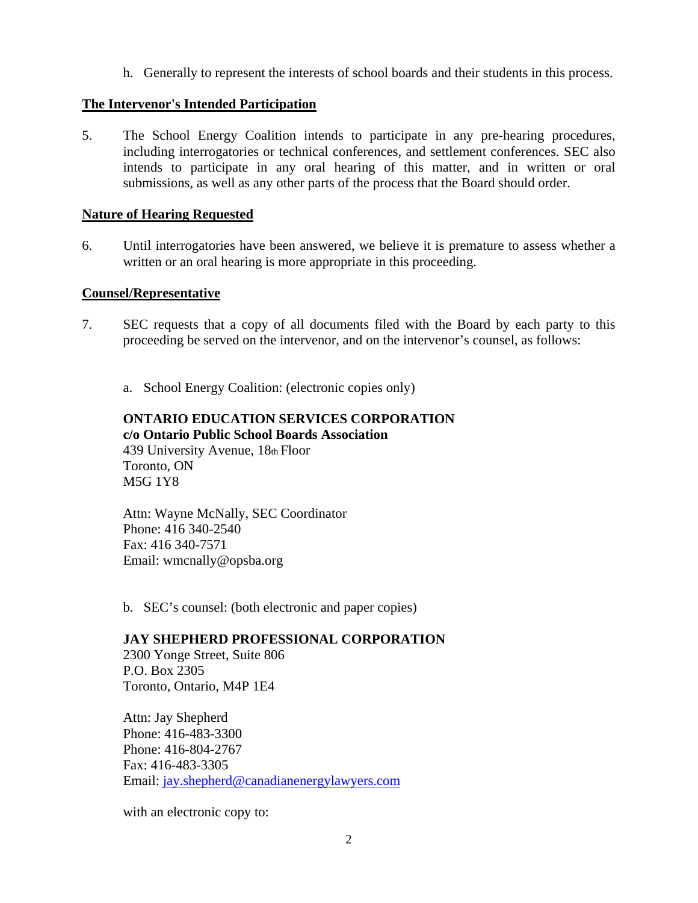h. Generally to represent the interests of school boards and their students in this process.

# **The Intervenor's Intended Participation**

5. The School Energy Coalition intends to participate in any pre-hearing procedures, including interrogatories or technical conferences, and settlement conferences. SEC also intends to participate in any oral hearing of this matter, and in written or oral submissions, as well as any other parts of the process that the Board should order.

## **Nature of Hearing Requested**

6. Until interrogatories have been answered, we believe it is premature to assess whether a written or an oral hearing is more appropriate in this proceeding.

## **Counsel/Representative**

- 7. SEC requests that a copy of all documents filed with the Board by each party to this proceeding be served on the intervenor, and on the intervenor's counsel, as follows:
	- a. School Energy Coalition: (electronic copies only)

## **ONTARIO EDUCATION SERVICES CORPORATION c/o Ontario Public School Boards Association**  439 University Avenue, 18th Floor Toronto, ON M5G 1Y8

Attn: Wayne McNally, SEC Coordinator Phone: 416 340-2540 Fax: 416 340-7571 Email: wmcnally@opsba.org

b. SEC's counsel: (both electronic and paper copies)

## **JAY SHEPHERD PROFESSIONAL CORPORATION**

2300 Yonge Street, Suite 806 P.O. Box 2305 Toronto, Ontario, M4P 1E4

Attn: Jay Shepherd Phone: 416-483-3300 Phone: 416-804-2767 Fax: 416-483-3305 Email: jay.shepherd@canadianenergylawyers.com

with an electronic copy to: